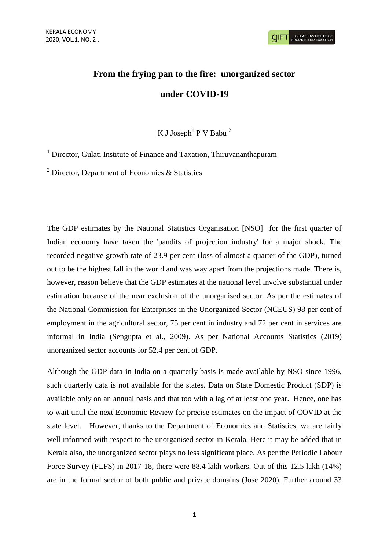# **From the frying pan to the fire: unorganized sector under COVID-19**

K J Joseph<sup>1</sup> P V Babu<sup>2</sup>

<sup>1</sup> Director, Gulati Institute of Finance and Taxation, Thiruvananthapuram

 $2$  Director, Department of Economics & Statistics

The GDP estimates by the National Statistics Organisation [NSO] for the first quarter of Indian economy have taken the 'pandits of projection industry' for a major shock. The recorded negative growth rate of 23.9 per cent (loss of almost a quarter of the GDP), turned out to be the highest fall in the world and was way apart from the projections made. There is, however, reason believe that the GDP estimates at the national level involve substantial under estimation because of the near exclusion of the unorganised sector. As per the estimates of the National Commission for Enterprises in the Unorganized Sector (NCEUS) 98 per cent of employment in the agricultural sector, 75 per cent in industry and 72 per cent in services are informal in India (Sengupta et al., 2009). As per National Accounts Statistics (2019) unorganized sector accounts for 52.4 per cent of GDP.

Although the GDP data in India on a quarterly basis is made available by NSO since 1996, such quarterly data is not available for the states. Data on State Domestic Product (SDP) is available only on an annual basis and that too with a lag of at least one year. Hence, one has to wait until the next Economic Review for precise estimates on the impact of COVID at the state level. However, thanks to the Department of Economics and Statistics, we are fairly well informed with respect to the unorganised sector in Kerala. Here it may be added that in Kerala also, the unorganized sector plays no less significant place. As per the Periodic Labour Force Survey (PLFS) in 2017-18, there were 88.4 lakh workers. Out of this 12.5 lakh (14%) are in the formal sector of both public and private domains (Jose 2020). Further around 33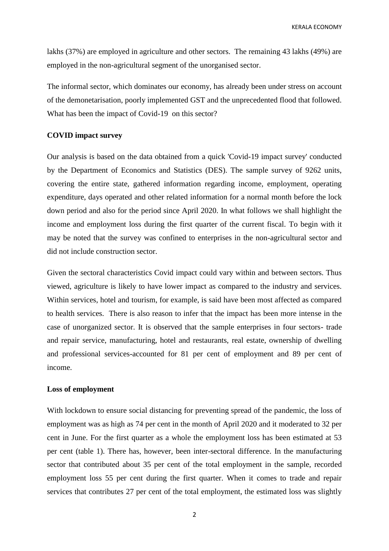KERALA ECONOMY

lakhs (37%) are employed in agriculture and other sectors. The remaining 43 lakhs (49%) are employed in the non-agricultural segment of the unorganised sector.

The informal sector, which dominates our economy, has already been under stress on account of the demonetarisation, poorly implemented GST and the unprecedented flood that followed. What has been the impact of Covid-19 on this sector?

## **COVID impact survey**

Our analysis is based on the data obtained from a quick 'Covid-19 impact survey' conducted by the Department of Economics and Statistics (DES). The sample survey of 9262 units, covering the entire state, gathered information regarding income, employment, operating expenditure, days operated and other related information for a normal month before the lock down period and also for the period since April 2020. In what follows we shall highlight the income and employment loss during the first quarter of the current fiscal. To begin with it may be noted that the survey was confined to enterprises in the non-agricultural sector and did not include construction sector.

Given the sectoral characteristics Covid impact could vary within and between sectors. Thus viewed, agriculture is likely to have lower impact as compared to the industry and services. Within services, hotel and tourism, for example, is said have been most affected as compared to health services. There is also reason to infer that the impact has been more intense in the case of unorganized sector. It is observed that the sample enterprises in four sectors- trade and repair service, manufacturing, hotel and restaurants, real estate, ownership of dwelling and professional services-accounted for 81 per cent of employment and 89 per cent of income.

# **Loss of employment**

With lockdown to ensure social distancing for preventing spread of the pandemic, the loss of employment was as high as 74 per cent in the month of April 2020 and it moderated to 32 per cent in June. For the first quarter as a whole the employment loss has been estimated at 53 per cent (table 1). There has, however, been inter-sectoral difference. In the manufacturing sector that contributed about 35 per cent of the total employment in the sample, recorded employment loss 55 per cent during the first quarter. When it comes to trade and repair services that contributes 27 per cent of the total employment, the estimated loss was slightly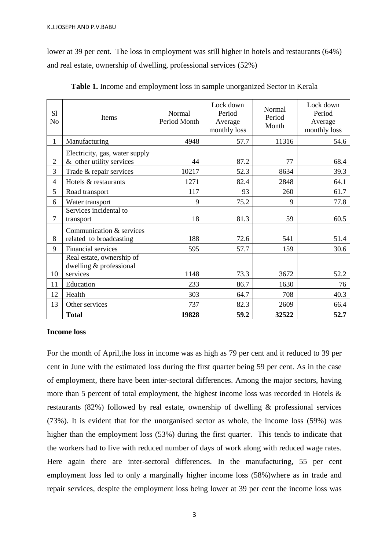lower at 39 per cent. The loss in employment was still higher in hotels and restaurants (64%) and real estate, ownership of dwelling, professional services (52%)

| S1<br>N <sub>o</sub> | Items                                                      | Normal<br>Period Month | Lock down<br>Period<br>Average<br>monthly loss | Normal<br>Period<br>Month | Lock down<br>Period<br>Average<br>monthly loss |
|----------------------|------------------------------------------------------------|------------------------|------------------------------------------------|---------------------------|------------------------------------------------|
| 1                    | Manufacturing                                              | 4948                   | 57.7                                           | 11316                     | 54.6                                           |
| $\overline{2}$       | Electricity, gas, water supply<br>& other utility services | 44                     | 87.2                                           | 77                        | 68.4                                           |
| 3                    | Trade & repair services                                    | 10217                  | 52.3                                           | 8634                      | 39.3                                           |
| $\overline{4}$       | Hotels & restaurants                                       | 1271                   | 82.4                                           | 2848                      | 64.1                                           |
| 5                    | Road transport                                             | 117                    | 93                                             | 260                       | 61.7                                           |
| 6                    | Water transport                                            | 9                      | 75.2                                           | 9                         | 77.8                                           |
| 7                    | Services incidental to<br>transport                        | 18                     | 81.3                                           | 59                        | 60.5                                           |
| 8                    | Communication & services<br>related to broadcasting        | 188                    | 72.6                                           | 541                       | 51.4                                           |
| 9                    | <b>Financial services</b>                                  | 595                    | 57.7                                           | 159                       | 30.6                                           |
|                      | Real estate, ownership of<br>dwelling & professional       |                        |                                                |                           |                                                |
| 10                   | services                                                   | 1148                   | 73.3                                           | 3672                      | 52.2                                           |
| 11                   | Education                                                  | 233                    | 86.7                                           | 1630                      | 76                                             |
| 12                   | Health                                                     | 303                    | 64.7                                           | 708                       | 40.3                                           |
| 13                   | Other services                                             | 737                    | 82.3                                           | 2609                      | 66.4                                           |
|                      | <b>Total</b>                                               | 19828                  | 59.2                                           | 32522                     | 52.7                                           |

**Table 1.** Income and employment loss in sample unorganized Sector in Kerala

## **Income loss**

For the month of April,the loss in income was as high as 79 per cent and it reduced to 39 per cent in June with the estimated loss during the first quarter being 59 per cent. As in the case of employment, there have been inter-sectoral differences. Among the major sectors, having more than 5 percent of total employment, the highest income loss was recorded in Hotels & restaurants (82%) followed by real estate, ownership of dwelling & professional services (73%). It is evident that for the unorganised sector as whole, the income loss (59%) was higher than the employment loss (53%) during the first quarter. This tends to indicate that the workers had to live with reduced number of days of work along with reduced wage rates. Here again there are inter-sectoral differences. In the manufacturing, 55 per cent employment loss led to only a marginally higher income loss (58%)where as in trade and repair services, despite the employment loss being lower at 39 per cent the income loss was